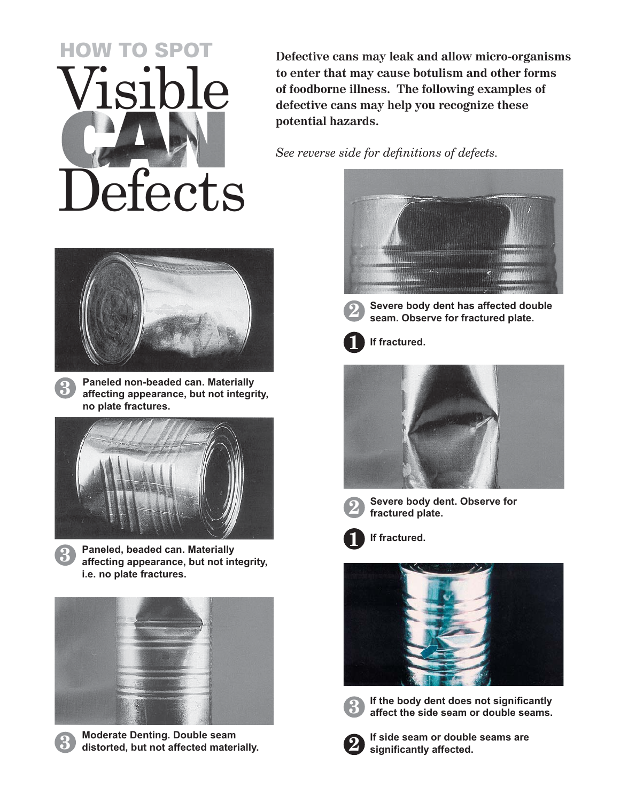## Visible Defects HOW TO SPOT

**Defective cans may leak and allow micro-organisms to enter that may cause botulism and other forms of foodborne illness. The following examples of defective cans may help you recognize these potential hazards.**

See reverse side for definitions of defects.



**Paneled non-beaded can. Materially affecting appearance, but not integrity, no plate fractures.**

**3**

**3**







**Moderate Denting. Double seam distorted, but not affected materially.**





**Severe body dent has affected double seam. Observe for fractured plate.**







**Severe body dent. Observe for fractured plate.**



**If fractured.**





**If the body dent does not significantly affect the side seam or double seams.**



**If side seam or double seams are**  significantly affected.